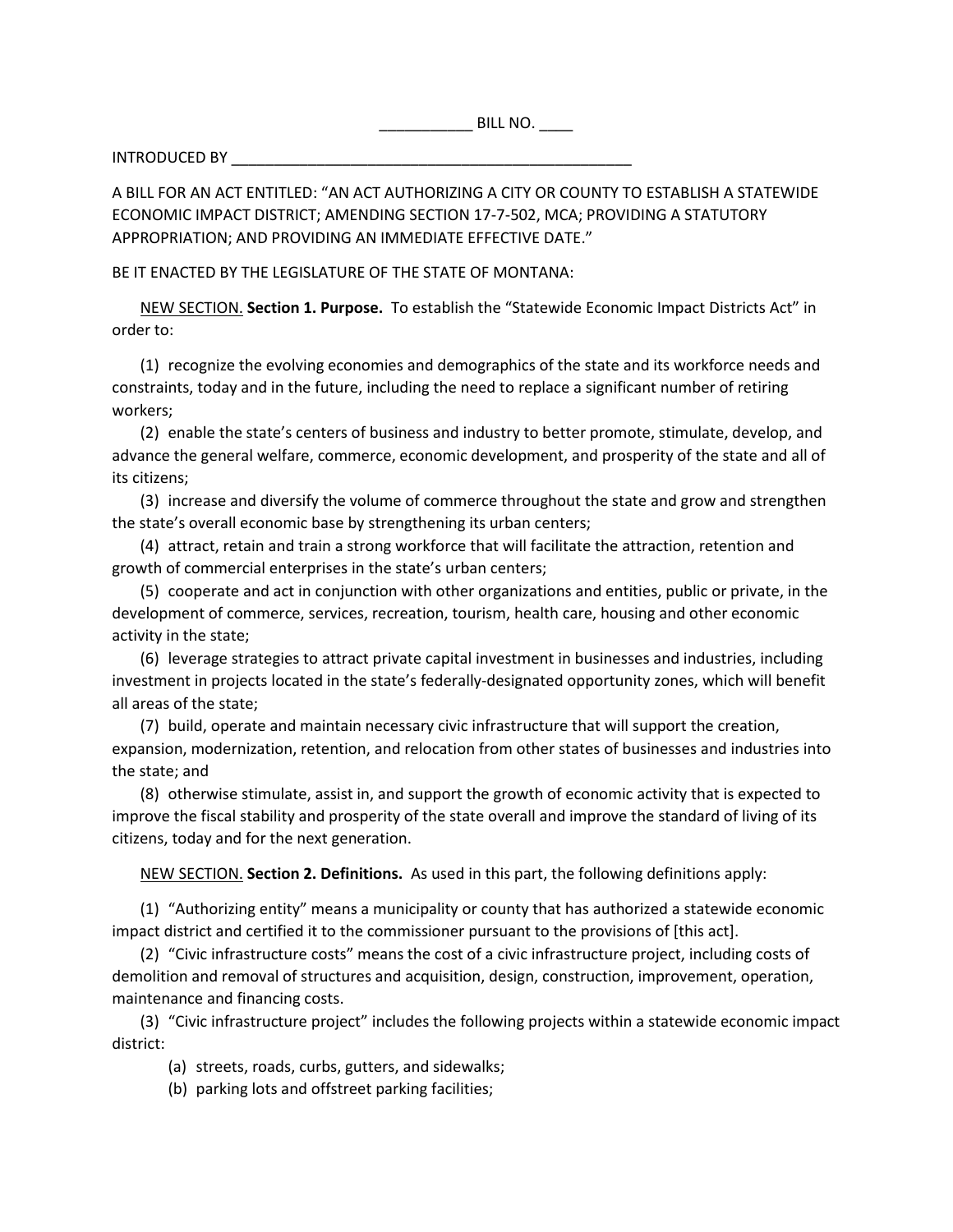$\blacksquare$  BILL NO.  $\blacksquare$ 

INTRODUCED BY \_\_\_\_\_\_\_\_\_\_\_\_\_\_\_\_\_\_\_\_\_\_\_\_\_\_\_\_\_\_\_\_\_\_\_\_\_\_\_\_\_\_\_\_\_\_\_

A BILL FOR AN ACT ENTITLED: "AN ACT AUTHORIZING A CITY OR COUNTY TO ESTABLISH A STATEWIDE ECONOMIC IMPACT DISTRICT; AMENDING SECTION 17-7-502, MCA; PROVIDING A STATUTORY APPROPRIATION; AND PROVIDING AN IMMEDIATE EFFECTIVE DATE."

## BE IT ENACTED BY THE LEGISLATURE OF THE STATE OF MONTANA:

NEW SECTION. **Section 1. Purpose.** To establish the "Statewide Economic Impact Districts Act" in order to:

(1) recognize the evolving economies and demographics of the state and its workforce needs and constraints, today and in the future, including the need to replace a significant number of retiring workers;

(2) enable the state's centers of business and industry to better promote, stimulate, develop, and advance the general welfare, commerce, economic development, and prosperity of the state and all of its citizens;

(3) increase and diversify the volume of commerce throughout the state and grow and strengthen the state's overall economic base by strengthening its urban centers;

(4) attract, retain and train a strong workforce that will facilitate the attraction, retention and growth of commercial enterprises in the state's urban centers;

(5) cooperate and act in conjunction with other organizations and entities, public or private, in the development of commerce, services, recreation, tourism, health care, housing and other economic activity in the state;

(6) leverage strategies to attract private capital investment in businesses and industries, including investment in projects located in the state's federally-designated opportunity zones, which will benefit all areas of the state;

(7) build, operate and maintain necessary civic infrastructure that will support the creation, expansion, modernization, retention, and relocation from other states of businesses and industries into the state; and

(8) otherwise stimulate, assist in, and support the growth of economic activity that is expected to improve the fiscal stability and prosperity of the state overall and improve the standard of living of its citizens, today and for the next generation.

NEW SECTION. **Section 2. Definitions.** As used in this part, the following definitions apply:

(1) "Authorizing entity" means a municipality or county that has authorized a statewide economic impact district and certified it to the commissioner pursuant to the provisions of [this act].

(2) "Civic infrastructure costs" means the cost of a civic infrastructure project, including costs of demolition and removal of structures and acquisition, design, construction, improvement, operation, maintenance and financing costs.

(3) "Civic infrastructure project" includes the following projects within a statewide economic impact district:

(a) streets, roads, curbs, gutters, and sidewalks;

(b) parking lots and offstreet parking facilities;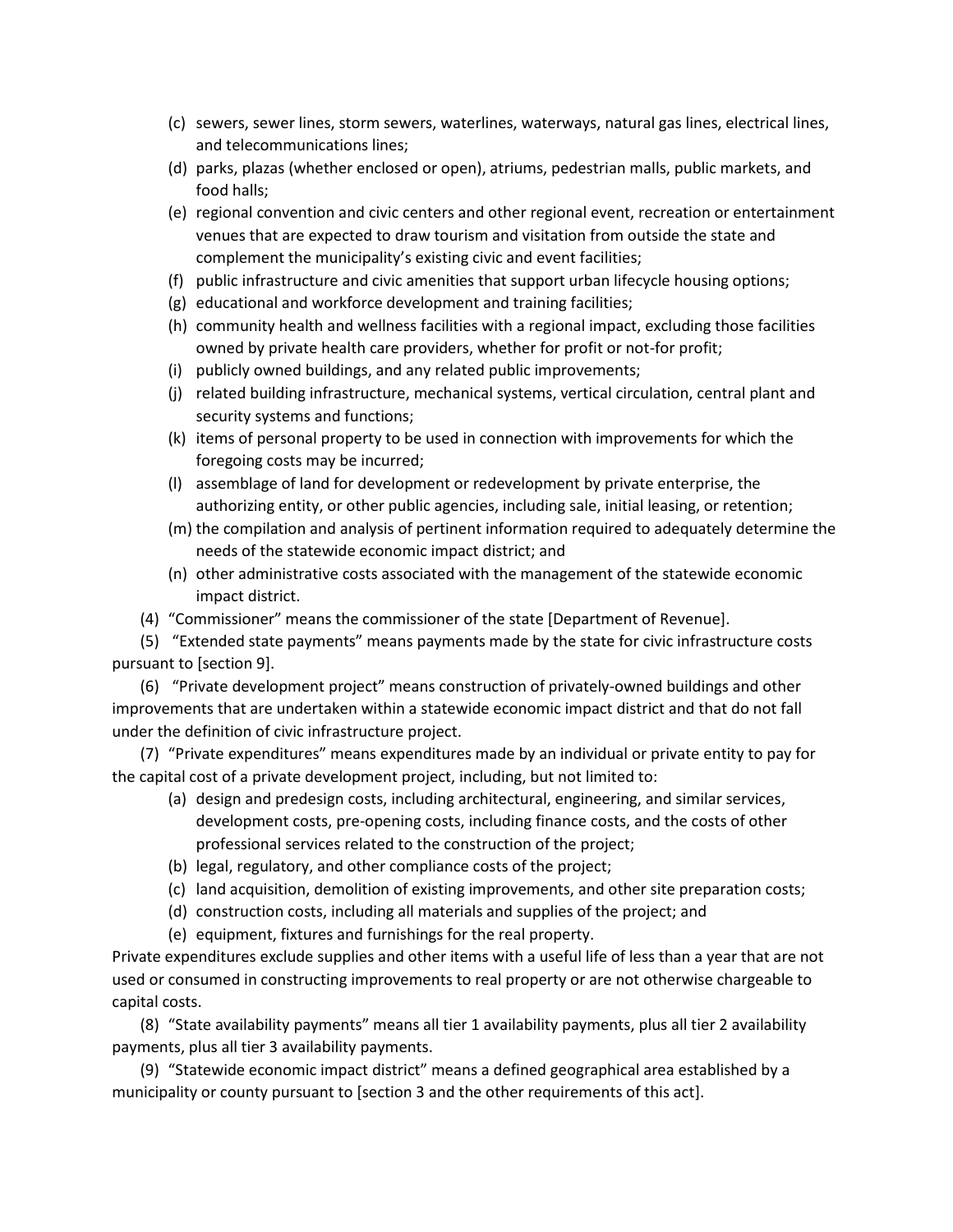- (c) sewers, sewer lines, storm sewers, waterlines, waterways, natural gas lines, electrical lines, and telecommunications lines;
- (d) parks, plazas (whether enclosed or open), atriums, pedestrian malls, public markets, and food halls;
- (e) regional convention and civic centers and other regional event, recreation or entertainment venues that are expected to draw tourism and visitation from outside the state and complement the municipality's existing civic and event facilities;
- (f) public infrastructure and civic amenities that support urban lifecycle housing options;
- (g) educational and workforce development and training facilities;
- (h) community health and wellness facilities with a regional impact, excluding those facilities owned by private health care providers, whether for profit or not-for profit;
- (i) publicly owned buildings, and any related public improvements;
- (j) related building infrastructure, mechanical systems, vertical circulation, central plant and security systems and functions;
- (k) items of personal property to be used in connection with improvements for which the foregoing costs may be incurred;
- (l) assemblage of land for development or redevelopment by private enterprise, the authorizing entity, or other public agencies, including sale, initial leasing, or retention;
- (m) the compilation and analysis of pertinent information required to adequately determine the needs of the statewide economic impact district; and
- (n) other administrative costs associated with the management of the statewide economic impact district.
- (4) "Commissioner" means the commissioner of the state [Department of Revenue].

(5) "Extended state payments" means payments made by the state for civic infrastructure costs pursuant to [section 9].

(6) "Private development project" means construction of privately-owned buildings and other improvements that are undertaken within a statewide economic impact district and that do not fall under the definition of civic infrastructure project.

(7) "Private expenditures" means expenditures made by an individual or private entity to pay for the capital cost of a private development project, including, but not limited to:

- (a) design and predesign costs, including architectural, engineering, and similar services, development costs, pre-opening costs, including finance costs, and the costs of other professional services related to the construction of the project;
- (b) legal, regulatory, and other compliance costs of the project;
- (c) land acquisition, demolition of existing improvements, and other site preparation costs;
- (d) construction costs, including all materials and supplies of the project; and
- (e) equipment, fixtures and furnishings for the real property.

Private expenditures exclude supplies and other items with a useful life of less than a year that are not used or consumed in constructing improvements to real property or are not otherwise chargeable to capital costs.

(8) "State availability payments" means all tier 1 availability payments, plus all tier 2 availability payments, plus all tier 3 availability payments.

(9) "Statewide economic impact district" means a defined geographical area established by a municipality or county pursuant to [section 3 and the other requirements of this act].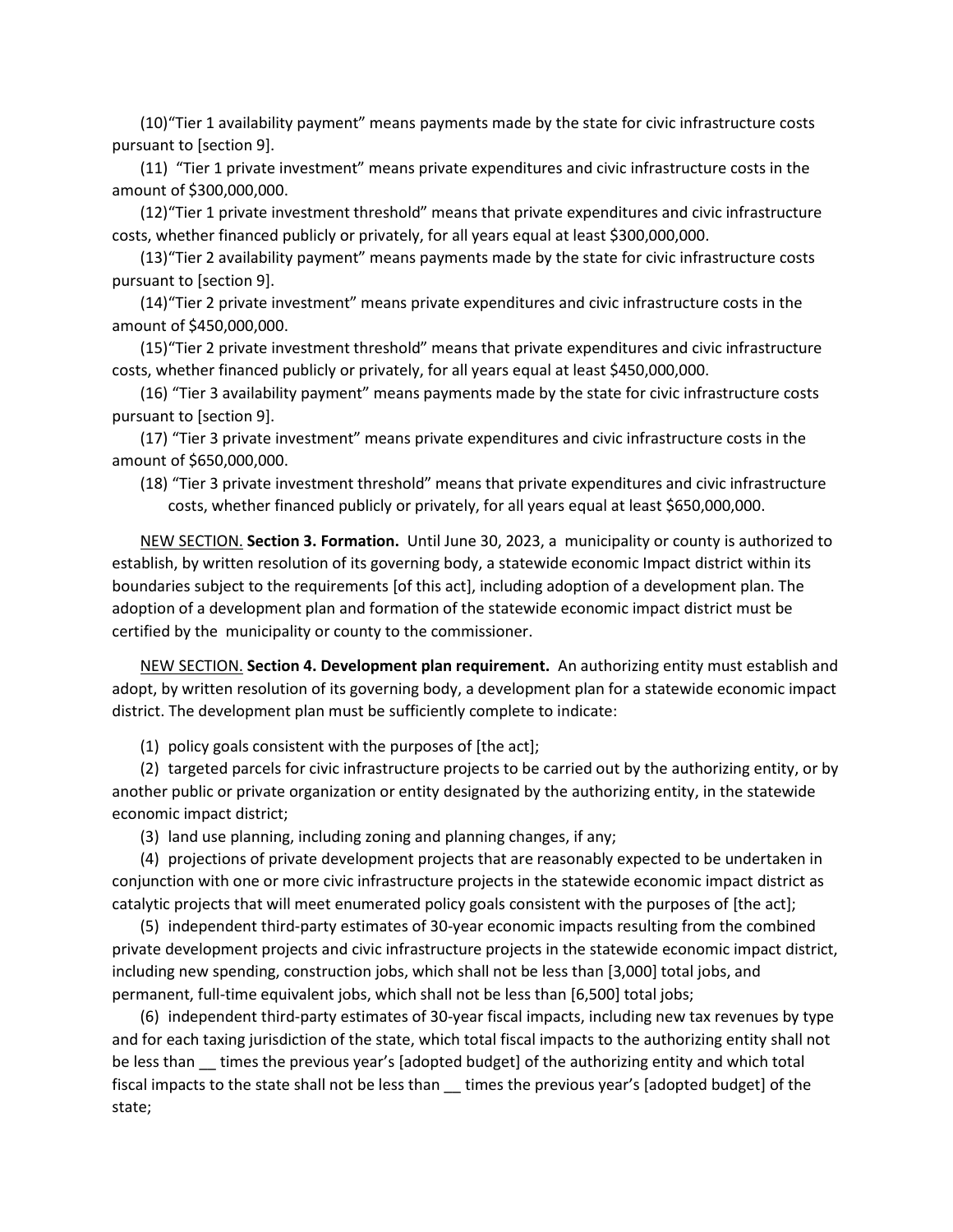(10)"Tier 1 availability payment" means payments made by the state for civic infrastructure costs pursuant to [section 9].

(11) "Tier 1 private investment" means private expenditures and civic infrastructure costs in the amount of \$300,000,000.

(12)"Tier 1 private investment threshold" means that private expenditures and civic infrastructure costs, whether financed publicly or privately, for all years equal at least \$300,000,000.

(13)"Tier 2 availability payment" means payments made by the state for civic infrastructure costs pursuant to [section 9].

(14)"Tier 2 private investment" means private expenditures and civic infrastructure costs in the amount of \$450,000,000.

(15)"Tier 2 private investment threshold" means that private expenditures and civic infrastructure costs, whether financed publicly or privately, for all years equal at least \$450,000,000.

(16) "Tier 3 availability payment" means payments made by the state for civic infrastructure costs pursuant to [section 9].

(17) "Tier 3 private investment" means private expenditures and civic infrastructure costs in the amount of \$650,000,000.

(18) "Tier 3 private investment threshold" means that private expenditures and civic infrastructure costs, whether financed publicly or privately, for all years equal at least \$650,000,000.

NEW SECTION. **Section 3. Formation.** Until June 30, 2023, a municipality or county is authorized to establish, by written resolution of its governing body, a statewide economic Impact district within its boundaries subject to the requirements [of this act], including adoption of a development plan. The adoption of a development plan and formation of the statewide economic impact district must be certified by the municipality or county to the commissioner.

NEW SECTION. **Section 4. Development plan requirement.** An authorizing entity must establish and adopt, by written resolution of its governing body, a development plan for a statewide economic impact district. The development plan must be sufficiently complete to indicate:

(1) policy goals consistent with the purposes of [the act];

(2) targeted parcels for civic infrastructure projects to be carried out by the authorizing entity, or by another public or private organization or entity designated by the authorizing entity, in the statewide economic impact district;

(3) land use planning, including zoning and planning changes, if any;

(4) projections of private development projects that are reasonably expected to be undertaken in conjunction with one or more civic infrastructure projects in the statewide economic impact district as catalytic projects that will meet enumerated policy goals consistent with the purposes of [the act];

(5) independent third-party estimates of 30-year economic impacts resulting from the combined private development projects and civic infrastructure projects in the statewide economic impact district, including new spending, construction jobs, which shall not be less than [3,000] total jobs, and permanent, full-time equivalent jobs, which shall not be less than [6,500] total jobs;

(6) independent third-party estimates of 30-year fiscal impacts, including new tax revenues by type and for each taxing jurisdiction of the state, which total fiscal impacts to the authorizing entity shall not be less than times the previous year's [adopted budget] of the authorizing entity and which total fiscal impacts to the state shall not be less than \_\_ times the previous year's [adopted budget] of the state;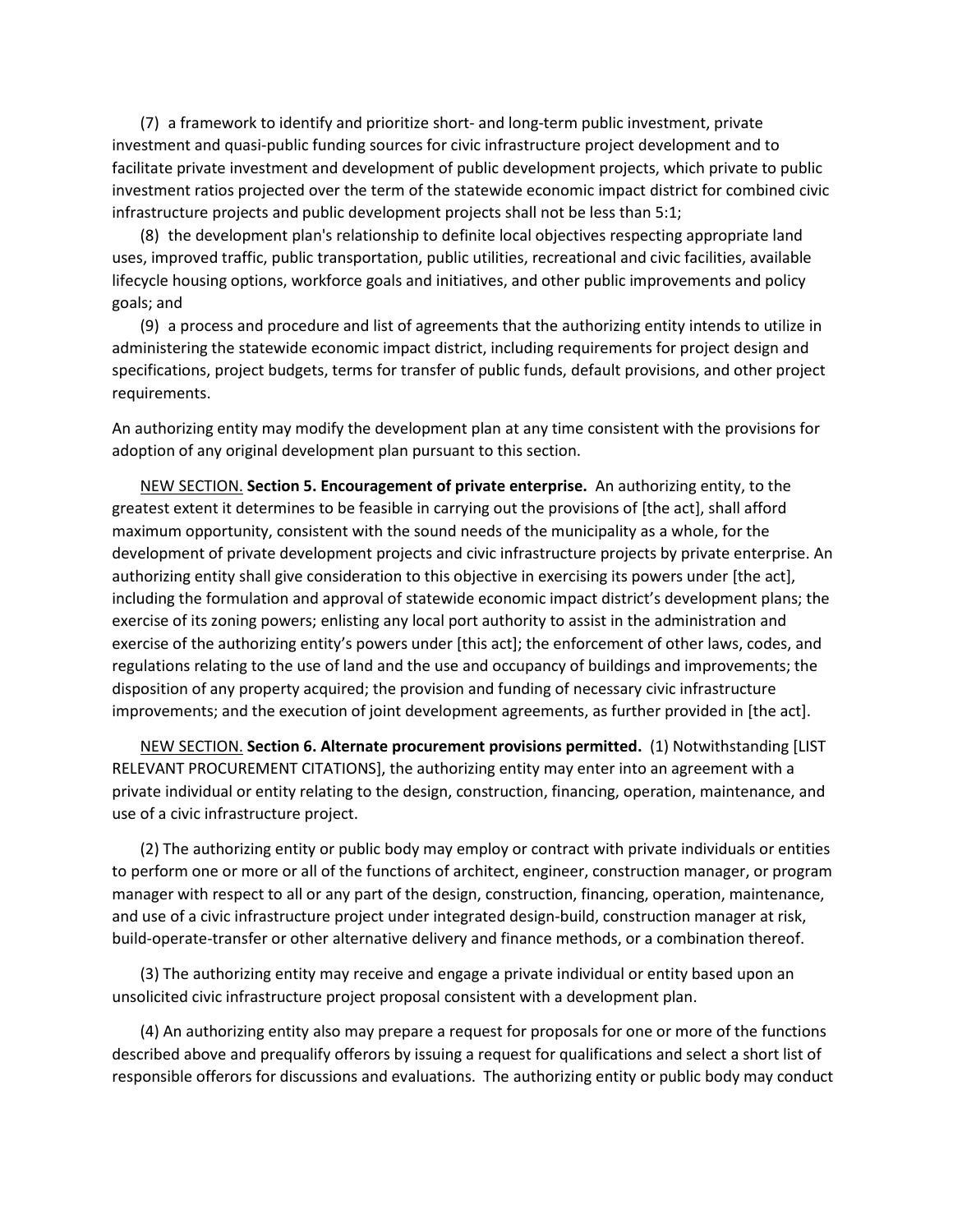(7) a framework to identify and prioritize short- and long-term public investment, private investment and quasi-public funding sources for civic infrastructure project development and to facilitate private investment and development of public development projects, which private to public investment ratios projected over the term of the statewide economic impact district for combined civic infrastructure projects and public development projects shall not be less than 5:1;

(8) the development plan's relationship to definite local objectives respecting appropriate land uses, improved traffic, public transportation, public utilities, recreational and civic facilities, available lifecycle housing options, workforce goals and initiatives, and other public improvements and policy goals; and

(9) a process and procedure and list of agreements that the authorizing entity intends to utilize in administering the statewide economic impact district, including requirements for project design and specifications, project budgets, terms for transfer of public funds, default provisions, and other project requirements.

An authorizing entity may modify the development plan at any time consistent with the provisions for adoption of any original development plan pursuant to this section.

NEW SECTION. **Section 5. Encouragement of private enterprise.** An authorizing entity, to the greatest extent it determines to be feasible in carrying out the provisions of [the act], shall afford maximum opportunity, consistent with the sound needs of the municipality as a whole, for the development of private development projects and civic infrastructure projects by private enterprise. An authorizing entity shall give consideration to this objective in exercising its powers under [the act], including the formulation and approval of statewide economic impact district's development plans; the exercise of its zoning powers; enlisting any local port authority to assist in the administration and exercise of the authorizing entity's powers under [this act]; the enforcement of other laws, codes, and regulations relating to the use of land and the use and occupancy of buildings and improvements; the disposition of any property acquired; the provision and funding of necessary civic infrastructure improvements; and the execution of joint development agreements, as further provided in [the act].

NEW SECTION. **Section 6. Alternate procurement provisions permitted.** (1) Notwithstanding [LIST RELEVANT PROCUREMENT CITATIONS], the authorizing entity may enter into an agreement with a private individual or entity relating to the design, construction, financing, operation, maintenance, and use of a civic infrastructure project.

(2) The authorizing entity or public body may employ or contract with private individuals or entities to perform one or more or all of the functions of architect, engineer, construction manager, or program manager with respect to all or any part of the design, construction, financing, operation, maintenance, and use of a civic infrastructure project under integrated design-build, construction manager at risk, build-operate-transfer or other alternative delivery and finance methods, or a combination thereof.

(3) The authorizing entity may receive and engage a private individual or entity based upon an unsolicited civic infrastructure project proposal consistent with a development plan.

(4) An authorizing entity also may prepare a request for proposals for one or more of the functions described above and prequalify offerors by issuing a request for qualifications and select a short list of responsible offerors for discussions and evaluations. The authorizing entity or public body may conduct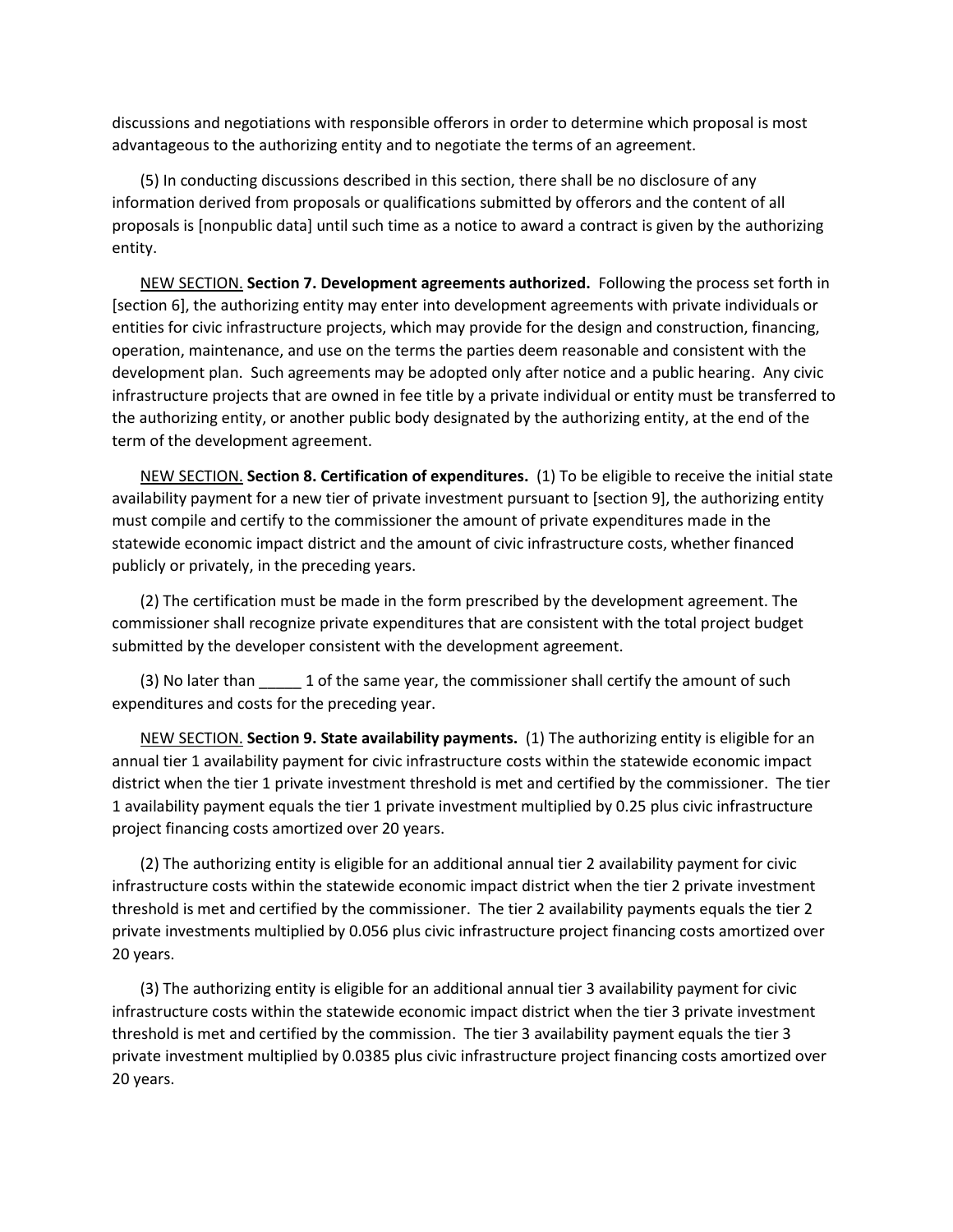discussions and negotiations with responsible offerors in order to determine which proposal is most advantageous to the authorizing entity and to negotiate the terms of an agreement.

(5) In conducting discussions described in this section, there shall be no disclosure of any information derived from proposals or qualifications submitted by offerors and the content of all proposals is [nonpublic data] until such time as a notice to award a contract is given by the authorizing entity.

NEW SECTION. **Section 7. Development agreements authorized.** Following the process set forth in [section 6], the authorizing entity may enter into development agreements with private individuals or entities for civic infrastructure projects, which may provide for the design and construction, financing, operation, maintenance, and use on the terms the parties deem reasonable and consistent with the development plan. Such agreements may be adopted only after notice and a public hearing. Any civic infrastructure projects that are owned in fee title by a private individual or entity must be transferred to the authorizing entity, or another public body designated by the authorizing entity, at the end of the term of the development agreement.

NEW SECTION. **Section 8. Certification of expenditures.** (1) To be eligible to receive the initial state availability payment for a new tier of private investment pursuant to [section 9], the authorizing entity must compile and certify to the commissioner the amount of private expenditures made in the statewide economic impact district and the amount of civic infrastructure costs, whether financed publicly or privately, in the preceding years.

(2) The certification must be made in the form prescribed by the development agreement. The commissioner shall recognize private expenditures that are consistent with the total project budget submitted by the developer consistent with the development agreement.

(3) No later than  $\qquad 1$  of the same year, the commissioner shall certify the amount of such expenditures and costs for the preceding year.

NEW SECTION. **Section 9. State availability payments.** (1) The authorizing entity is eligible for an annual tier 1 availability payment for civic infrastructure costs within the statewide economic impact district when the tier 1 private investment threshold is met and certified by the commissioner. The tier 1 availability payment equals the tier 1 private investment multiplied by 0.25 plus civic infrastructure project financing costs amortized over 20 years.

(2) The authorizing entity is eligible for an additional annual tier 2 availability payment for civic infrastructure costs within the statewide economic impact district when the tier 2 private investment threshold is met and certified by the commissioner. The tier 2 availability payments equals the tier 2 private investments multiplied by 0.056 plus civic infrastructure project financing costs amortized over 20 years.

(3) The authorizing entity is eligible for an additional annual tier 3 availability payment for civic infrastructure costs within the statewide economic impact district when the tier 3 private investment threshold is met and certified by the commission. The tier 3 availability payment equals the tier 3 private investment multiplied by 0.0385 plus civic infrastructure project financing costs amortized over 20 years.